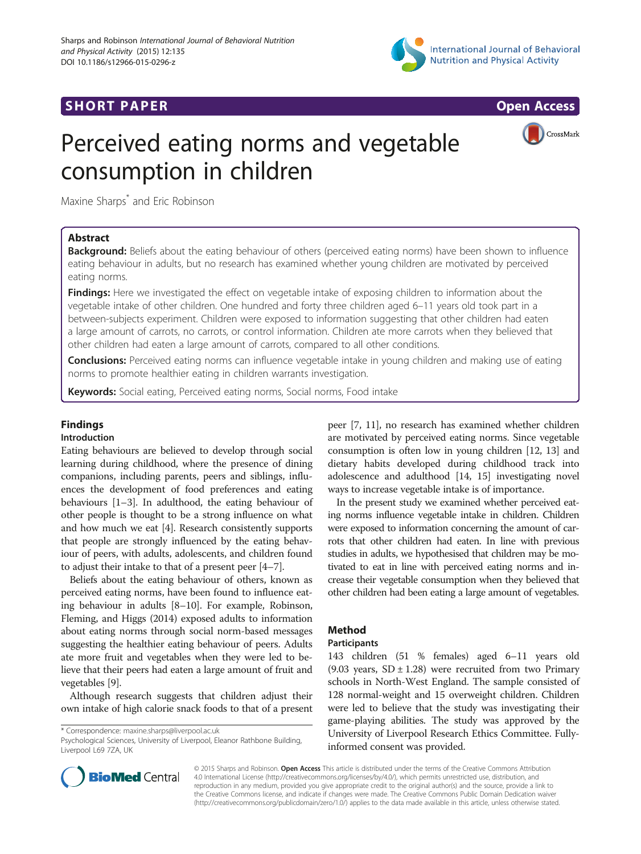

# **SHORT PAPER SHORT PAPER SHORT PAPER SHORT ACCESS**



CrossMark

# Perceived eating norms and vegetable consumption in children

Maxine Sharps\* and Eric Robinson

# Abstract

Background: Beliefs about the eating behaviour of others (perceived eating norms) have been shown to influence eating behaviour in adults, but no research has examined whether young children are motivated by perceived eating norms.

**Findings:** Here we investigated the effect on vegetable intake of exposing children to information about the vegetable intake of other children. One hundred and forty three children aged 6–11 years old took part in a between-subjects experiment. Children were exposed to information suggesting that other children had eaten a large amount of carrots, no carrots, or control information. Children ate more carrots when they believed that other children had eaten a large amount of carrots, compared to all other conditions.

**Conclusions:** Perceived eating norms can influence vegetable intake in young children and making use of eating norms to promote healthier eating in children warrants investigation.

Keywords: Social eating, Perceived eating norms, Social norms, Food intake

# Findings

## Introduction

Eating behaviours are believed to develop through social learning during childhood, where the presence of dining companions, including parents, peers and siblings, influences the development of food preferences and eating behaviours [\[1](#page-3-0)–[3](#page-3-0)]. In adulthood, the eating behaviour of other people is thought to be a strong influence on what and how much we eat [\[4](#page-3-0)]. Research consistently supports that people are strongly influenced by the eating behaviour of peers, with adults, adolescents, and children found to adjust their intake to that of a present peer [[4](#page-3-0)–[7](#page-3-0)].

Beliefs about the eating behaviour of others, known as perceived eating norms, have been found to influence eating behaviour in adults [\[8](#page-3-0)–[10](#page-3-0)]. For example, Robinson, Fleming, and Higgs (2014) exposed adults to information about eating norms through social norm-based messages suggesting the healthier eating behaviour of peers. Adults ate more fruit and vegetables when they were led to believe that their peers had eaten a large amount of fruit and vegetables [[9\]](#page-3-0).

Although research suggests that children adjust their own intake of high calorie snack foods to that of a present

\* Correspondence: [maxine.sharps@liverpool.ac.uk](mailto:maxine.sharps@liverpool.ac.uk)

peer [\[7, 11](#page-3-0)], no research has examined whether children are motivated by perceived eating norms. Since vegetable consumption is often low in young children [\[12, 13](#page-3-0)] and dietary habits developed during childhood track into adolescence and adulthood [[14](#page-3-0), [15](#page-3-0)] investigating novel ways to increase vegetable intake is of importance.

In the present study we examined whether perceived eating norms influence vegetable intake in children. Children were exposed to information concerning the amount of carrots that other children had eaten. In line with previous studies in adults, we hypothesised that children may be motivated to eat in line with perceived eating norms and increase their vegetable consumption when they believed that other children had been eating a large amount of vegetables.

# Method

# **Participants**

143 children (51 % females) aged 6–11 years old (9.03 years,  $SD \pm 1.28$ ) were recruited from two Primary schools in North-West England. The sample consisted of 128 normal-weight and 15 overweight children. Children were led to believe that the study was investigating their game-playing abilities. The study was approved by the University of Liverpool Research Ethics Committee. Fullyinformed consent was provided.



© 2015 Sharps and Robinson. Open Access This article is distributed under the terms of the Creative Commons Attribution 4.0 International License ([http://creativecommons.org/licenses/by/4.0/\)](http://creativecommons.org/licenses/by/4.0/), which permits unrestricted use, distribution, and reproduction in any medium, provided you give appropriate credit to the original author(s) and the source, provide a link to the Creative Commons license, and indicate if changes were made. The Creative Commons Public Domain Dedication waiver [\(http://creativecommons.org/publicdomain/zero/1.0/](http://creativecommons.org/publicdomain/zero/1.0/)) applies to the data made available in this article, unless otherwise stated.

Psychological Sciences, University of Liverpool, Eleanor Rathbone Building, Liverpool L69 7ZA, UK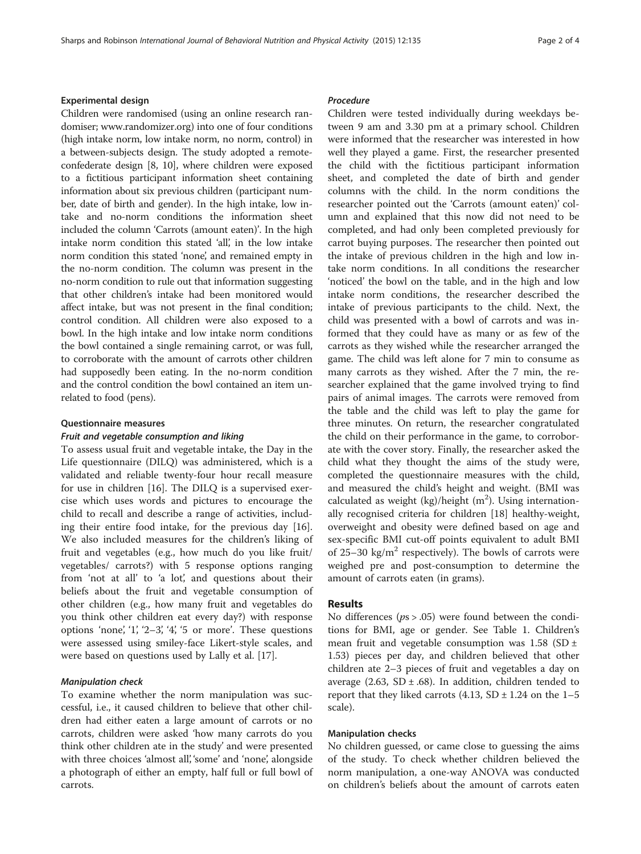#### Experimental design

Children were randomised (using an online research randomiser; [www.randomizer.org](http://www.randomizer.org/)) into one of four conditions (high intake norm, low intake norm, no norm, control) in a between-subjects design. The study adopted a remoteconfederate design [\[8, 10\]](#page-3-0), where children were exposed to a fictitious participant information sheet containing information about six previous children (participant number, date of birth and gender). In the high intake, low intake and no-norm conditions the information sheet included the column 'Carrots (amount eaten)'. In the high intake norm condition this stated 'all', in the low intake norm condition this stated 'none', and remained empty in the no-norm condition. The column was present in the no-norm condition to rule out that information suggesting that other children's intake had been monitored would affect intake, but was not present in the final condition; control condition. All children were also exposed to a bowl. In the high intake and low intake norm conditions the bowl contained a single remaining carrot, or was full, to corroborate with the amount of carrots other children had supposedly been eating. In the no-norm condition and the control condition the bowl contained an item unrelated to food (pens).

#### Questionnaire measures

# Fruit and vegetable consumption and liking

To assess usual fruit and vegetable intake, the Day in the Life questionnaire (DILQ) was administered, which is a validated and reliable twenty-four hour recall measure for use in children [\[16](#page-3-0)]. The DILQ is a supervised exercise which uses words and pictures to encourage the child to recall and describe a range of activities, including their entire food intake, for the previous day [\[16](#page-3-0)]. We also included measures for the children's liking of fruit and vegetables (e.g., how much do you like fruit/ vegetables/ carrots?) with 5 response options ranging from 'not at all' to 'a lot', and questions about their beliefs about the fruit and vegetable consumption of other children (e.g., how many fruit and vegetables do you think other children eat every day?) with response options 'none', '1', '2-3', '4', '5 or more'. These questions were assessed using smiley-face Likert-style scales, and were based on questions used by Lally et al. [\[17](#page-3-0)].

#### Manipulation check

To examine whether the norm manipulation was successful, i.e., it caused children to believe that other children had either eaten a large amount of carrots or no carrots, children were asked 'how many carrots do you think other children ate in the study' and were presented with three choices 'almost all', 'some' and 'none', alongside a photograph of either an empty, half full or full bowl of carrots.

#### Procedure

Children were tested individually during weekdays between 9 am and 3.30 pm at a primary school. Children were informed that the researcher was interested in how well they played a game. First, the researcher presented the child with the fictitious participant information sheet, and completed the date of birth and gender columns with the child. In the norm conditions the researcher pointed out the 'Carrots (amount eaten)' column and explained that this now did not need to be completed, and had only been completed previously for carrot buying purposes. The researcher then pointed out the intake of previous children in the high and low intake norm conditions. In all conditions the researcher 'noticed' the bowl on the table, and in the high and low intake norm conditions, the researcher described the intake of previous participants to the child. Next, the child was presented with a bowl of carrots and was informed that they could have as many or as few of the carrots as they wished while the researcher arranged the game. The child was left alone for 7 min to consume as many carrots as they wished. After the 7 min, the researcher explained that the game involved trying to find pairs of animal images. The carrots were removed from the table and the child was left to play the game for three minutes. On return, the researcher congratulated the child on their performance in the game, to corroborate with the cover story. Finally, the researcher asked the child what they thought the aims of the study were, completed the questionnaire measures with the child, and measured the child's height and weight. (BMI was calculated as weight (kg)/height  $(m^2)$ . Using internationally recognised criteria for children [\[18](#page-3-0)] healthy-weight, overweight and obesity were defined based on age and sex-specific BMI cut-off points equivalent to adult BMI of 25–30 kg/m<sup>2</sup> respectively). The bowls of carrots were weighed pre and post-consumption to determine the amount of carrots eaten (in grams).

# Results

No differences ( $ps > .05$ ) were found between the conditions for BMI, age or gender. See Table [1](#page-2-0). Children's mean fruit and vegetable consumption was  $1.58$  (SD  $\pm$ 1.53) pieces per day, and children believed that other children ate 2–3 pieces of fruit and vegetables a day on average (2.63, SD  $\pm$  .68). In addition, children tended to report that they liked carrots  $(4.13, SD \pm 1.24$  on the 1-5 scale).

#### Manipulation checks

No children guessed, or came close to guessing the aims of the study. To check whether children believed the norm manipulation, a one-way ANOVA was conducted on children's beliefs about the amount of carrots eaten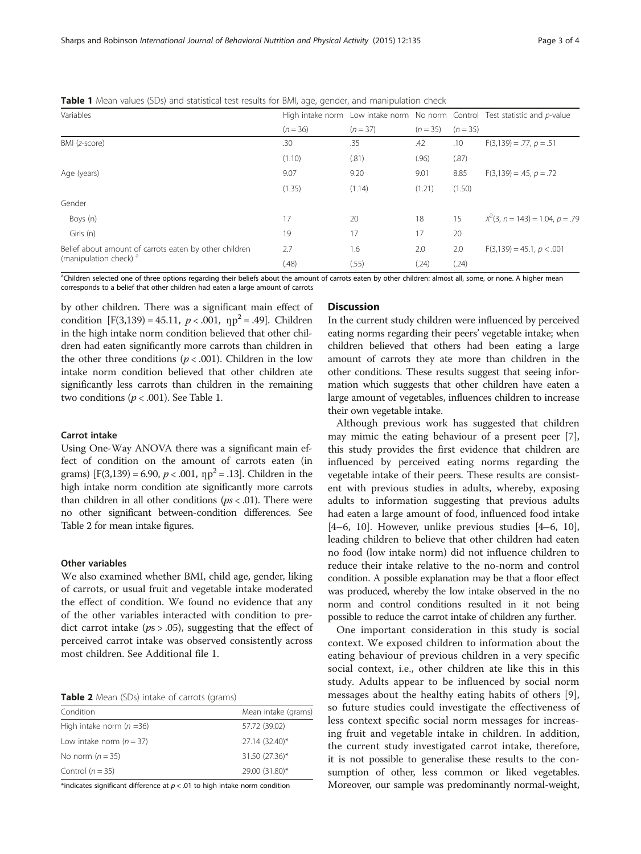| Variables                                                                                   |            |          |            |            | High intake norm Low intake norm No norm Control Test statistic and p-value |
|---------------------------------------------------------------------------------------------|------------|----------|------------|------------|-----------------------------------------------------------------------------|
|                                                                                             | $(n = 36)$ | $(n=37)$ | $(n = 35)$ | $(n = 35)$ |                                                                             |
| BMI (z-score)                                                                               | .30        | .35      | .42        | .10        | $F(3,139) = .77, p = .51$                                                   |
|                                                                                             | (1.10)     | (.81)    | (.96)      | (.87)      |                                                                             |
| Age (years)                                                                                 | 9.07       | 9.20     | 9.01       | 8.85       | $F(3,139) = .45, p = .72$                                                   |
|                                                                                             | (1.35)     | (1.14)   | (1.21)     | (1.50)     |                                                                             |
| Gender                                                                                      |            |          |            |            |                                                                             |
| Boys (n)                                                                                    | 17         | 20       | 18         | 15         | $X^2(3, n = 143) = 1.04, p = .79$                                           |
| Girls (n)                                                                                   | 19         | 17       | 17         | 20         |                                                                             |
| Belief about amount of carrots eaten by other children<br>(manipulation check) <sup>a</sup> | 2.7        | 1.6      | 2.0        | 2.0        | $F(3,139) = 45.1, p < .001$                                                 |
|                                                                                             | (.48)      | (.55)    | (.24)      | (.24)      |                                                                             |

<span id="page-2-0"></span>Table 1 Mean values (SDs) and statistical test results for BMI, age, gender, and manipulation check

<sup>a</sup>Children selected one of three options regarding their beliefs about the amount of carrots eaten by other children: almost all, some, or none. A higher mean corresponds to a belief that other children had eaten a large amount of carrots

by other children. There was a significant main effect of condition  $[F(3,139) = 45.11, p < .001, np^2 = .49]$ . Children in the high intake norm condition believed that other children had eaten significantly more carrots than children in the other three conditions ( $p < .001$ ). Children in the low intake norm condition believed that other children ate significantly less carrots than children in the remaining two conditions ( $p < .001$ ). See Table 1.

#### Carrot intake

Using One-Way ANOVA there was a significant main effect of condition on the amount of carrots eaten (in grams)  $[F(3,139) = 6.90, p < .001, np^2 = .13]$ . Children in the high intake norm condition ate significantly more carrots than children in all other conditions ( $ps < .01$ ). There were no other significant between-condition differences. See Table 2 for mean intake figures.

#### Other variables

We also examined whether BMI, child age, gender, liking of carrots, or usual fruit and vegetable intake moderated the effect of condition. We found no evidence that any of the other variables interacted with condition to predict carrot intake ( $ps > .05$ ), suggesting that the effect of perceived carrot intake was observed consistently across most children. See Additional file [1.](#page-3-0)

Table 2 Mean (SDs) intake of carrots (grams)

| Condition                  | Mean intake (grams) |
|----------------------------|---------------------|
| High intake norm $(n=36)$  | 57.72 (39.02)       |
| Low intake norm $(n = 37)$ | 27.14 (32.40)*      |
| No norm $(n=35)$           | 31.50 (27.36)*      |
| Control $(n = 35)$         | 29.00 (31.80)*      |

\*indicates significant difference at  $p < .01$  to high intake norm condition

#### **Discussion**

In the current study children were influenced by perceived eating norms regarding their peers' vegetable intake; when children believed that others had been eating a large amount of carrots they ate more than children in the other conditions. These results suggest that seeing information which suggests that other children have eaten a large amount of vegetables, influences children to increase their own vegetable intake.

Although previous work has suggested that children may mimic the eating behaviour of a present peer [\[7](#page-3-0)], this study provides the first evidence that children are influenced by perceived eating norms regarding the vegetable intake of their peers. These results are consistent with previous studies in adults, whereby, exposing adults to information suggesting that previous adults had eaten a large amount of food, influenced food intake [[4](#page-3-0)–[6, 10\]](#page-3-0). However, unlike previous studies [\[4](#page-3-0)–[6](#page-3-0), [10](#page-3-0)], leading children to believe that other children had eaten no food (low intake norm) did not influence children to reduce their intake relative to the no-norm and control condition. A possible explanation may be that a floor effect was produced, whereby the low intake observed in the no norm and control conditions resulted in it not being possible to reduce the carrot intake of children any further.

One important consideration in this study is social context. We exposed children to information about the eating behaviour of previous children in a very specific social context, i.e., other children ate like this in this study. Adults appear to be influenced by social norm messages about the healthy eating habits of others [[9](#page-3-0)], so future studies could investigate the effectiveness of less context specific social norm messages for increasing fruit and vegetable intake in children. In addition, the current study investigated carrot intake, therefore, it is not possible to generalise these results to the consumption of other, less common or liked vegetables. Moreover, our sample was predominantly normal-weight,